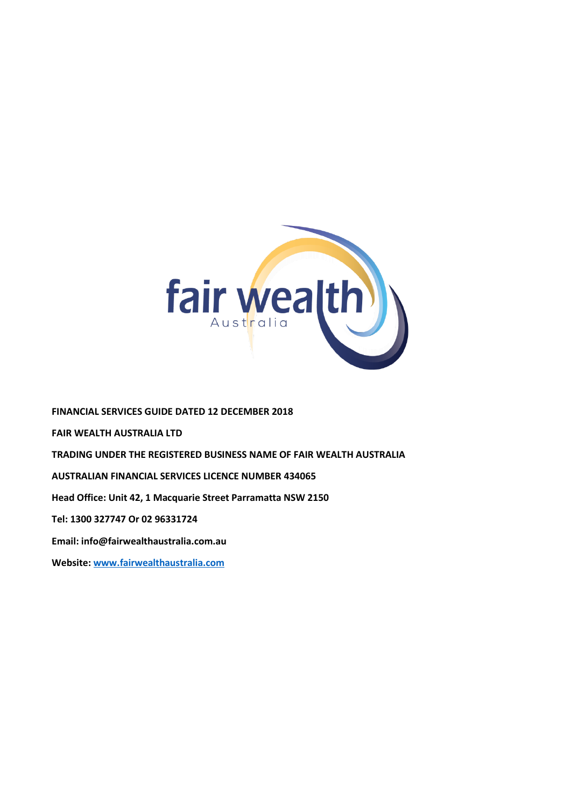

**FINANCIAL SERVICES GUIDE DATED 12 DECEMBER 2018 FAIR WEALTH AUSTRALIA LTD TRADING UNDER THE REGISTERED BUSINESS NAME OF FAIR WEALTH AUSTRALIA AUSTRALIAN FINANCIAL SERVICES LICENCE NUMBER 434065 Head Office: Unit 42, 1 Macquarie Street Parramatta NSW 2150 Tel: 1300 327747 Or 02 96331724 Email: info@fairwealthaustralia.com.au Website: [www.fairwealthaustralia.com](http://www.fairwealthaustralia.com/)**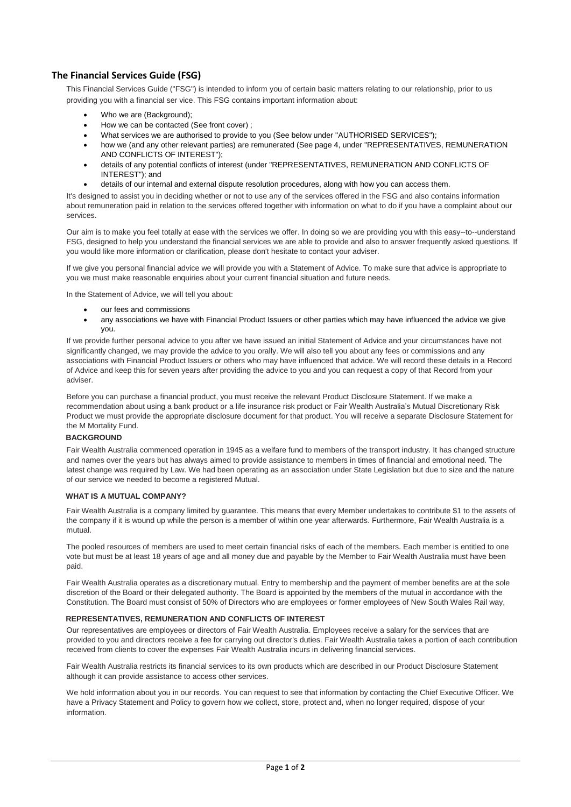# **The Financial Services Guide (FSG)**

This Financial Services Guide ("FSG") is intended to inform you of certain basic matters relating to our relationship, prior to us providing you with a financial ser vice. This FSG contains important information about:

- Who we are (Background);
- How we can be contacted (See front cover) ;
- What services we are authorised to provide to you (See below under "AUTHORISED SERVICES");
- how we (and any other relevant parties) are remunerated (See page 4, under "REPRESENTATIVES, REMUNERATION AND CONFLICTS OF INTEREST");
- details of any potential conflicts of interest (under "REPRESENTATIVES, REMUNERATION AND CONFLICTS OF INTEREST"); and
- details of our internal and external dispute resolution procedures, along with how you can access them.

It's designed to assist you in deciding whether or not to use any of the services offered in the FSG and also contains information about remuneration paid in relation to the services offered together with information on what to do if you have a complaint about our services.

Our aim is to make you feel totally at ease with the services we offer. In doing so we are providing you with this easy--to--understand FSG, designed to help you understand the financial services we are able to provide and also to answer frequently asked questions. If you would like more information or clarification, please don't hesitate to contact your adviser.

If we give you personal financial advice we will provide you with a Statement of Advice. To make sure that advice is appropriate to you we must make reasonable enquiries about your current financial situation and future needs.

In the Statement of Advice, we will tell you about:

- our fees and commissions
- any associations we have with Financial Product Issuers or other parties which may have influenced the advice we give you.

If we provide further personal advice to you after we have issued an initial Statement of Advice and your circumstances have not significantly changed, we may provide the advice to you orally. We will also tell you about any fees or commissions and any associations with Financial Product Issuers or others who may have influenced that advice. We will record these details in a Record of Advice and keep this for seven years after providing the advice to you and you can request a copy of that Record from your adviser.

Before you can purchase a financial product, you must receive the relevant Product Disclosure Statement. If we make a recommendation about using a bank product or a life insurance risk product or Fair Wealth Australia's Mutual Discretionary Risk Product we must provide the appropriate disclosure document for that product. You will receive a separate Disclosure Statement for the M Mortality Fund.

## **BACKGROUND**

Fair Wealth Australia commenced operation in 1945 as a welfare fund to members of the transport industry. It has changed structure and names over the years but has always aimed to provide assistance to members in times of financial and emotional need. The latest change was required by Law. We had been operating as an association under State Legislation but due to size and the nature of our service we needed to become a registered Mutual.

#### **WHAT IS A MUTUAL COMPANY?**

Fair Wealth Australia is a company limited by guarantee. This means that every Member undertakes to contribute \$1 to the assets of the company if it is wound up while the person is a member of within one year afterwards. Furthermore, Fair Wealth Australia is a mutual.

The pooled resources of members are used to meet certain financial risks of each of the members. Each member is entitled to one vote but must be at least 18 years of age and all money due and payable by the Member to Fair Wealth Australia must have been paid.

Fair Wealth Australia operates as a discretionary mutual. Entry to membership and the payment of member benefits are at the sole discretion of the Board or their delegated authority. The Board is appointed by the members of the mutual in accordance with the Constitution. The Board must consist of 50% of Directors who are employees or former employees of New South Wales Rail way,

#### **REPRESENTATIVES, REMUNERATION AND CONFLICTS OF INTEREST**

Our representatives are employees or directors of Fair Wealth Australia. Employees receive a salary for the services that are provided to you and directors receive a fee for carrying out director's duties. Fair Wealth Australia takes a portion of each contribution received from clients to cover the expenses Fair Wealth Australia incurs in delivering financial services.

Fair Wealth Australia restricts its financial services to its own products which are described in our Product Disclosure Statement although it can provide assistance to access other services.

We hold information about you in our records. You can request to see that information by contacting the Chief Executive Officer. We have a Privacy Statement and Policy to govern how we collect, store, protect and, when no longer required, dispose of your information.